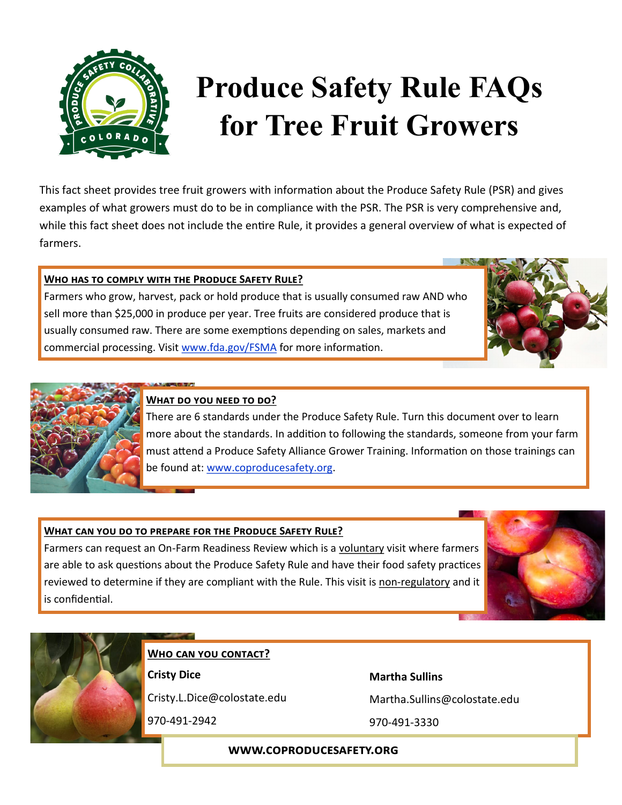

# **Produce Safety Rule FAQs for Tree Fruit Growers**

This fact sheet provides tree fruit growers with information about the Produce Safety Rule (PSR) and gives examples of what growers must do to be in compliance with the PSR. The PSR is very comprehensive and, while this fact sheet does not include the entire Rule, it provides a general overview of what is expected of farmers.

## **Who has to comply with the Produce Safety Rule?**

Farmers who grow, harvest, pack or hold produce that is usually consumed raw AND who sell more than \$25,000 in produce per year. Tree fruits are considered produce that is usually consumed raw. There are some exemptions depending on sales, markets and commercial processing. Visit [www.fda.gov/FSMA](http://www.fda.gov/FSMA) for more information.





# **What do you need to do?**

There are 6 standards under the Produce Safety Rule. Turn this document over to learn more about the standards. In addition to following the standards, someone from your farm must attend a Produce Safety Alliance Grower Training. Information on those trainings can be found at: [www.coproducesafety.org.](http://www.coproducesafety.org)

## **What can you do to prepare for the Produce Safety Rule?**

Farmers can request an On-Farm Readiness Review which is a voluntary visit where farmers are able to ask questions about the Produce Safety Rule and have their food safety practices reviewed to determine if they are compliant with the Rule. This visit is non-regulatory and it is confidential.





**Who can you contact?**

**Cristy Dice**

Cristy.L.Dice@colostate.edu

970-491-2942

**Martha Sullins**

Martha.Sullins@colostate.edu

970-491-3330

#### **www.coproducesafety.org**